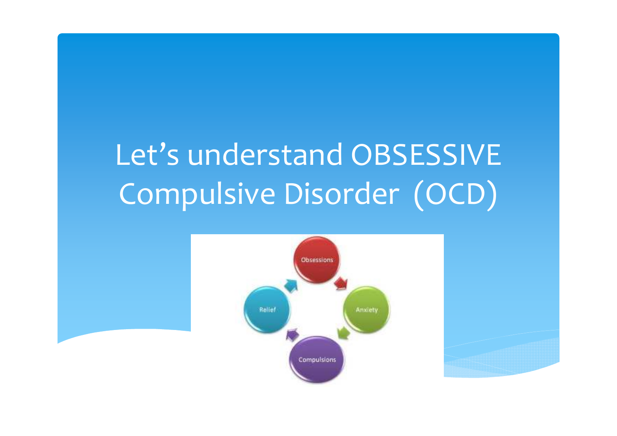# Let's understand OBSESSIVE Compulsive Disorder (OCD)



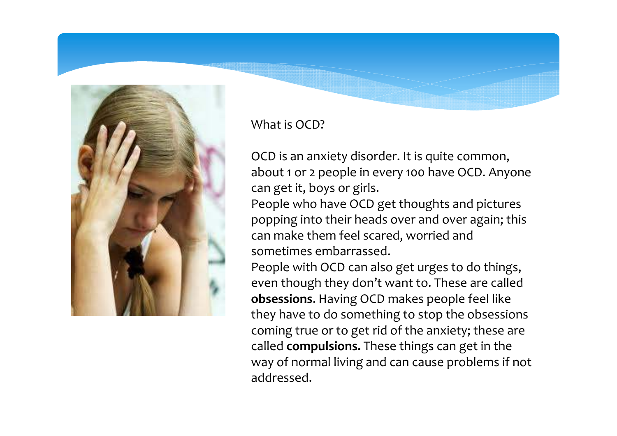

What is OCD?

OCD is an anxiety disorder. It is quite common, about 1 or 2 people in every 100 have OCD. Anyone can get it, boys or girls.

People who have OCD get thoughts and pictures popping into their heads over and over again; this can make them feel scared, worried and sometimes embarrassed.

People with OCD can also get urges to do things, even though they don't want to. These are called **obsessions**. Having OCD makes people feel like they have to do something to stop the obsessions coming true or to get rid of the anxiety; these arecalled **compulsions.** These things can get in the way of normal living and can cause problems if not addressed.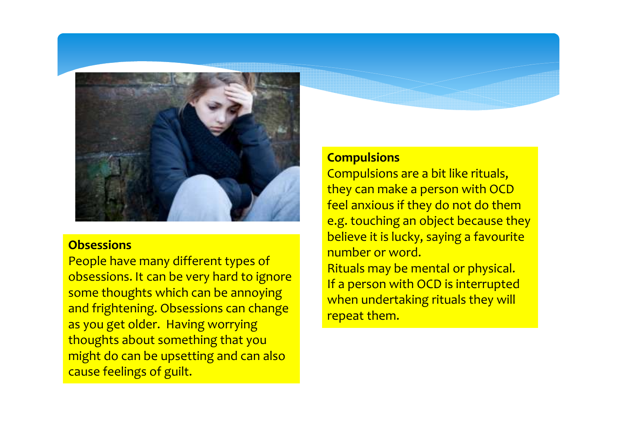

#### **Obsessions**

 People have many different types of obsessions. It can be very hard to ignore some thoughts which can be annoying and frightening. Obsessions can change as you get older. Having worrying thoughts about something that you might do can be upsetting and can also cause feelings of guilt.

#### **Compulsions**

 Compulsions are a bit like rituals, they can make a person with OCD feel anxious if they do not do them e.g. touching an object because they believe it is lucky, saying a favourite number or word.Rituals may be mental or physical.If a person with OCD is interrupted when undertaking rituals they will repeat them.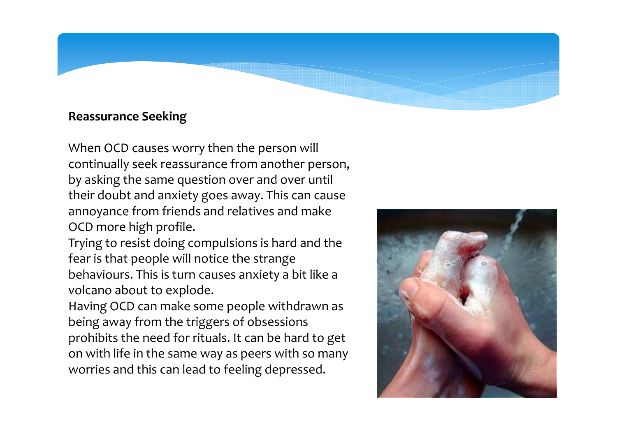#### **Reassurance Seeking**

When OCD causes worry then the person will continually seek reassurance from another person, by asking the same question over and over until their doubt and anxiety goes away. This can cause annoyance from friends and relatives and make OCD more high profile.

Trying to resist doing compulsions is hard and the fear is that people will notice the strange behaviours. This is turn causes anxiety a bit like a volcano about to explode.

Having OCD can make some people withdrawn as being away from the triggers of obsessions prohibits the need for rituals. It can be hard to get on with life in the same way as peers with so many worries and this can lead to feeling depressed.

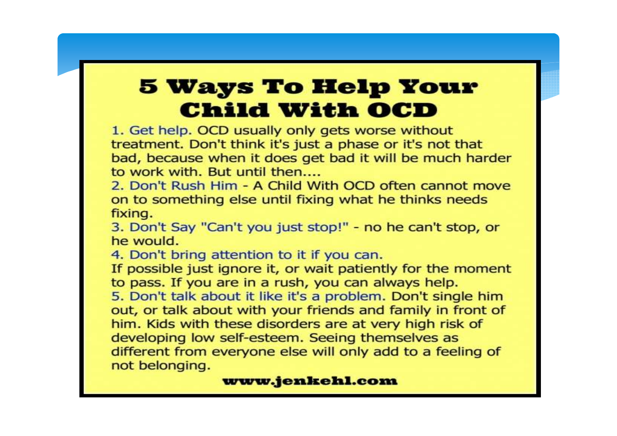# **5 Ways To Help Your Child With OCD**

1. Get help. OCD usually only gets worse without treatment. Don't think it's just a phase or it's not that bad, because when it does get bad it will be much harder to work with. But until then

2. Don't Rush Him - A Child With OCD often cannot move on to something else until fixing what he thinks needs fixing.

3. Don't Say "Can't you just stop!" - no he can't stop, or he would.

4. Don't bring attention to it if you can.

If possible just ignore it, or wait patiently for the moment to pass. If you are in a rush, you can always help.

5. Don't talk about it like it's a problem. Don't single him out, or talk about with your friends and family in front of him. Kids with these disorders are at very high risk of developing low self-esteem. Seeing themselves as different from everyone else will only add to a feeling of not belonging.

#### www.jenkehl.com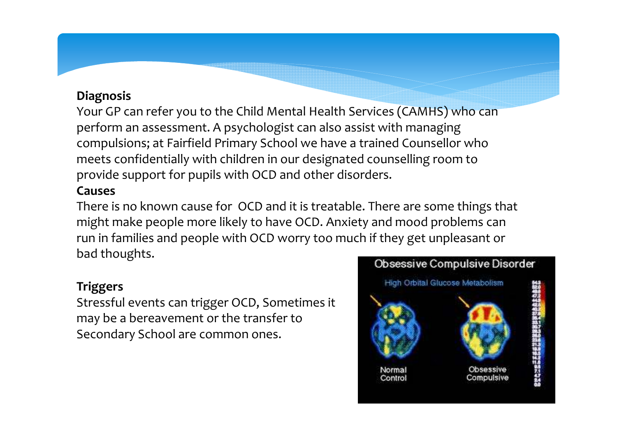#### **Diagnosis**

 Your GP can refer you to the Child Mental Health Services (CAMHS) who can perform an assessment. A psychologist can also assist with managing compulsions; at Fairfield Primary School we have a trained Counsellor who meets confidentially with children in our designated counselling room to provide support for pupils with OCD and other disorders.

#### **Causes**

 There is no known cause for OCD and it is treatable. There are some things that might make people more likely to have OCD. Anxiety and mood problems can run in families and people with OCD worry too much if they get unpleasant or bad thoughts.

#### **Triggers**

 Stressful events can trigger OCD, Sometimes it may be a bereavement or the transfer to Secondary School are common ones.

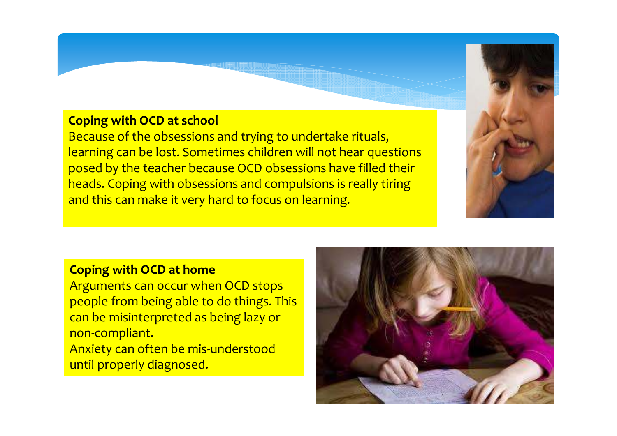#### **Coping with OCD at school**

Because of the obsessions and trying to undertake rituals, learning can be lost. Sometimes children will not hear questions posed by the teacher because OCD obsessions have filled their heads. Coping with obsessions and compulsions is really tiring and this can make it very hard to focus on learning.



 Arguments can occur when OCD stops people from being able to do things. This can be misinterpreted as being lazy or non-compliant. Anxiety can often be mis-understood until properly diagnosed.

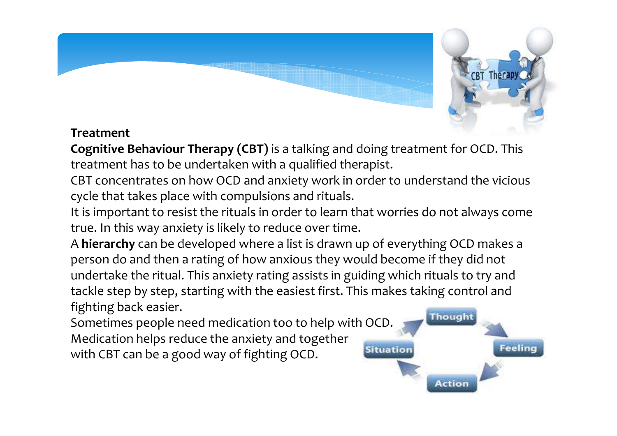

#### **Treatment**

**Cognitive Behaviour Therapy (CBT)** is a talking and doing treatment for OCD. This treatment has to be undertaken with a qualified therapist.

CBT concentrates on how OCD and anxiety work in order to understand the vicious cycle that takes place with compulsions and rituals.

It is important to resist the rituals in order to learn that worries do not always come true. In this way anxiety is likely to reduce over time.

A **hierarchy** can be developed where a list is drawn up of everything OCD makes a person do and then a rating of how anxious they would become if they did not undertake the ritual. This anxiety rating assists in guiding which rituals to try and tackle step by step, starting with the easiest first. This makes taking control and fighting back easier.

Sometimes people need medication too to help with OCD.Medication helps reduce the anxiety and togetherwith CBT can be a good way of fighting OCD.